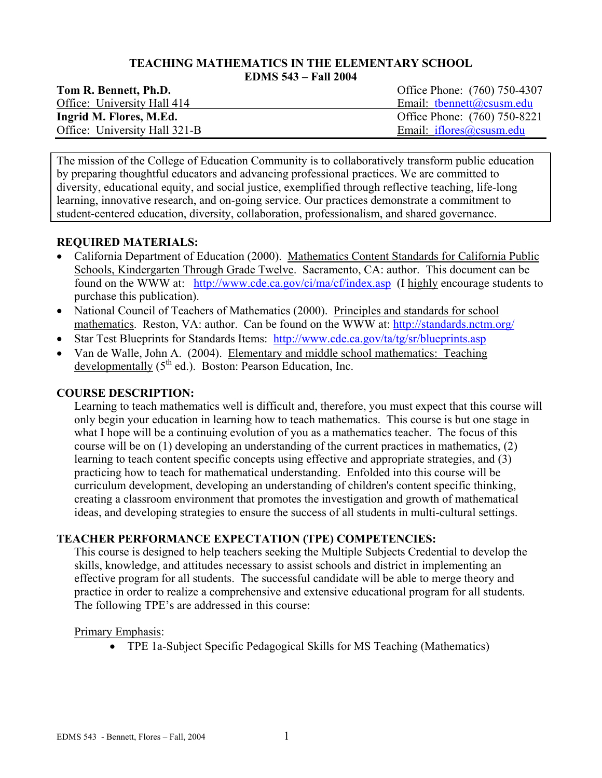#### **TEACHING MATHEMATICS IN THE ELEMENTARY SCHOOL EDMS 543 – Fall 2004**

| Tom R. Bennett, Ph.D.         | Office Phone: (760) 750-4307 |
|-------------------------------|------------------------------|
| Office: University Hall 414   | Email: thennett@csusm.edu    |
| Ingrid M. Flores, M.Ed.       | Office Phone: (760) 750-8221 |
| Office: University Hall 321-B | Email: $iflores@csusm.edu$   |

The mission of the College of Education Community is to collaboratively transform public education by preparing thoughtful educators and advancing professional practices. We are committed to diversity, educational equity, and social justice, exemplified through reflective teaching, life-long learning, innovative research, and on-going service. Our practices demonstrate a commitment to student-centered education, diversity, collaboration, professionalism, and shared governance.

### **REQUIRED MATERIALS:**

- California Department of Education (2000). Mathematics Content Standards for California Public Schools, Kindergarten Through Grade Twelve. Sacramento, CA: author. This document can be found on the WWW at: http://www.cde.ca.gov/ci/ma/cf/index.asp (I highly encourage students to purchase this publication).
- National Council of Teachers of Mathematics (2000). Principles and standards for school mathematics. Reston, VA: author. Can be found on the WWW at: http://standards.nctm.org/
- Star Test Blueprints for Standards Items: http://www.cde.ca.gov/ta/tg/sr/blueprints.asp
- Van de Walle, John A. (2004). Elementary and middle school mathematics: Teaching developmentally  $(5<sup>th</sup>$  ed.). Boston: Pearson Education, Inc.

## **COURSE DESCRIPTION:**

Learning to teach mathematics well is difficult and, therefore, you must expect that this course will only begin your education in learning how to teach mathematics. This course is but one stage in what I hope will be a continuing evolution of you as a mathematics teacher. The focus of this course will be on (1) developing an understanding of the current practices in mathematics, (2) learning to teach content specific concepts using effective and appropriate strategies, and (3) practicing how to teach for mathematical understanding. Enfolded into this course will be curriculum development, developing an understanding of children's content specific thinking, creating a classroom environment that promotes the investigation and growth of mathematical ideas, and developing strategies to ensure the success of all students in multi-cultural settings.

# **TEACHER PERFORMANCE EXPECTATION (TPE) COMPETENCIES:**

This course is designed to help teachers seeking the Multiple Subjects Credential to develop the skills, knowledge, and attitudes necessary to assist schools and district in implementing an effective program for all students. The successful candidate will be able to merge theory and practice in order to realize a comprehensive and extensive educational program for all students. The following TPE's are addressed in this course:

### Primary Emphasis:

• TPE 1a-Subject Specific Pedagogical Skills for MS Teaching (Mathematics)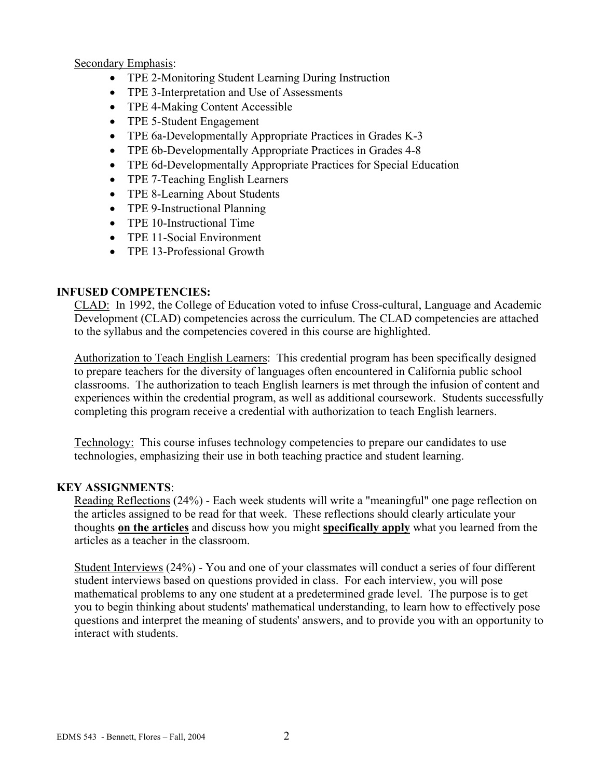Secondary Emphasis:

- TPE 2-Monitoring Student Learning During Instruction
- TPE 3-Interpretation and Use of Assessments
- TPE 4-Making Content Accessible
- TPE 5-Student Engagement
- TPE 6a-Developmentally Appropriate Practices in Grades K-3
- TPE 6b-Developmentally Appropriate Practices in Grades 4-8
- TPE 6d-Developmentally Appropriate Practices for Special Education
- TPE 7-Teaching English Learners
- TPE 8-Learning About Students
- TPE 9-Instructional Planning
- TPE 10-Instructional Time
- TPE 11-Social Environment
- TPE 13-Professional Growth

# **INFUSED COMPETENCIES:**

CLAD: In 1992, the College of Education voted to infuse Cross-cultural, Language and Academic Development (CLAD) competencies across the curriculum. The CLAD competencies are attached to the syllabus and the competencies covered in this course are highlighted.

Authorization to Teach English Learners: This credential program has been specifically designed to prepare teachers for the diversity of languages often encountered in California public school classrooms. The authorization to teach English learners is met through the infusion of content and experiences within the credential program, as well as additional coursework. Students successfully completing this program receive a credential with authorization to teach English learners.

Technology: This course infuses technology competencies to prepare our candidates to use technologies, emphasizing their use in both teaching practice and student learning.

# **KEY ASSIGNMENTS**:

Reading Reflections (24%) - Each week students will write a "meaningful" one page reflection on the articles assigned to be read for that week. These reflections should clearly articulate your thoughts **on the articles** and discuss how you might **specifically apply** what you learned from the articles as a teacher in the classroom.

Student Interviews (24%) - You and one of your classmates will conduct a series of four different student interviews based on questions provided in class. For each interview, you will pose mathematical problems to any one student at a predetermined grade level. The purpose is to get you to begin thinking about students' mathematical understanding, to learn how to effectively pose questions and interpret the meaning of students' answers, and to provide you with an opportunity to interact with students.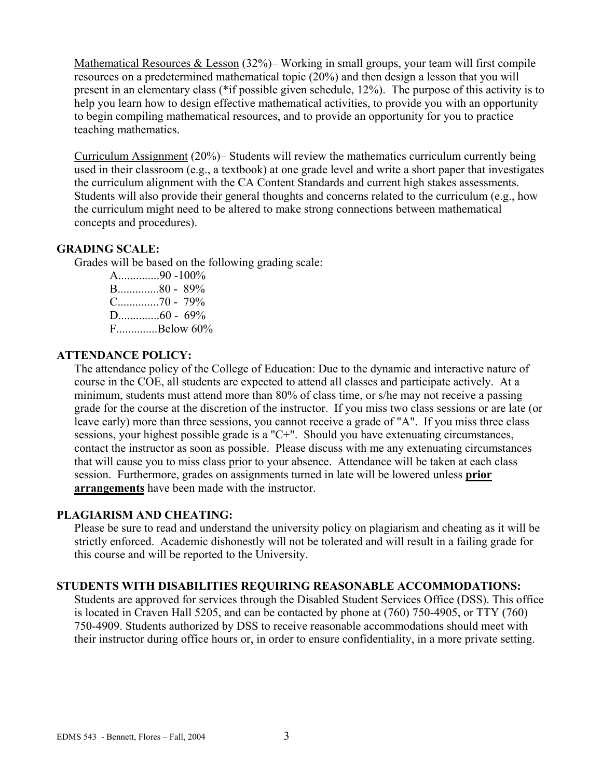Mathematical Resources & Lesson (32%)– Working in small groups, your team will first compile resources on a predetermined mathematical topic (20%) and then design a lesson that you will present in an elementary class (\*if possible given schedule, 12%). The purpose of this activity is to help you learn how to design effective mathematical activities, to provide you with an opportunity to begin compiling mathematical resources, and to provide an opportunity for you to practice teaching mathematics.

Curriculum Assignment (20%)– Students will review the mathematics curriculum currently being used in their classroom (e.g., a textbook) at one grade level and write a short paper that investigates the curriculum alignment with the CA Content Standards and current high stakes assessments. Students will also provide their general thoughts and concerns related to the curriculum (e.g., how the curriculum might need to be altered to make strong connections between mathematical concepts and procedures).

### **GRADING SCALE:**

Grades will be based on the following grading scale:

A..............90 -100% B..............80 - 89% C..............70 - 79% D..............60 - 69% F..............Below 60%

#### **ATTENDANCE POLICY:**

The attendance policy of the College of Education: Due to the dynamic and interactive nature of course in the COE, all students are expected to attend all classes and participate actively. At a minimum, students must attend more than 80% of class time, or s/he may not receive a passing grade for the course at the discretion of the instructor. If you miss two class sessions or are late (or leave early) more than three sessions, you cannot receive a grade of "A". If you miss three class sessions, your highest possible grade is a "C+". Should you have extenuating circumstances, contact the instructor as soon as possible. Please discuss with me any extenuating circumstances that will cause you to miss class prior to your absence. Attendance will be taken at each class session. Furthermore, grades on assignments turned in late will be lowered unless **prior arrangements** have been made with the instructor.

### **PLAGIARISM AND CHEATING:**

Please be sure to read and understand the university policy on plagiarism and cheating as it will be strictly enforced. Academic dishonestly will not be tolerated and will result in a failing grade for this course and will be reported to the University.

#### **STUDENTS WITH DISABILITIES REQUIRING REASONABLE ACCOMMODATIONS:**

Students are approved for services through the Disabled Student Services Office (DSS). This office is located in Craven Hall 5205, and can be contacted by phone at (760) 750-4905, or TTY (760) 750-4909. Students authorized by DSS to receive reasonable accommodations should meet with their instructor during office hours or, in order to ensure confidentiality, in a more private setting.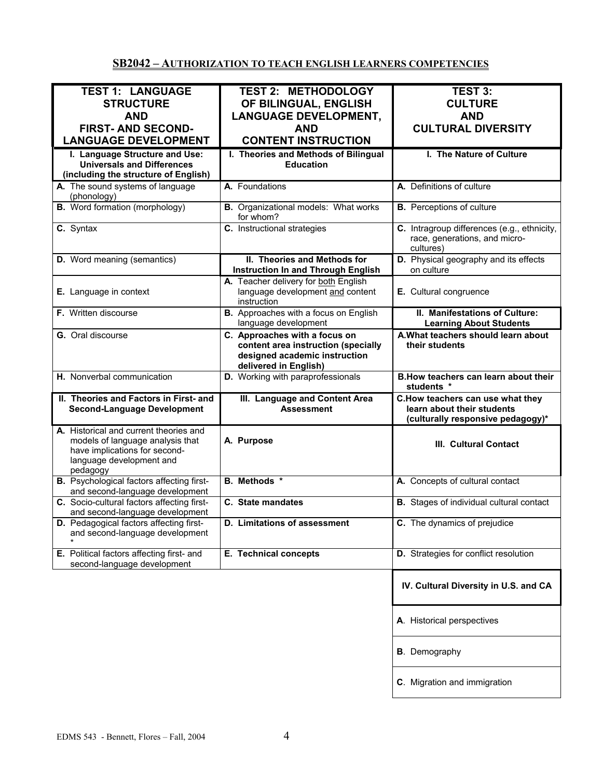# **SB2042 – AUTHORIZATION TO TEACH ENGLISH LEARNERS COMPETENCIES**

| <b>TEST 1: LANGUAGE</b>                          | <b>TEST 2: METHODOLOGY</b>                   | <b>TEST 3:</b>                                  |
|--------------------------------------------------|----------------------------------------------|-------------------------------------------------|
| <b>STRUCTURE</b>                                 | OF BILINGUAL, ENGLISH                        | <b>CULTURE</b>                                  |
|                                                  |                                              |                                                 |
| <b>AND</b>                                       | <b>LANGUAGE DEVELOPMENT,</b>                 | <b>AND</b>                                      |
| <b>FIRST- AND SECOND-</b>                        | <b>AND</b>                                   | <b>CULTURAL DIVERSITY</b>                       |
|                                                  |                                              |                                                 |
| <b>LANGUAGE DEVELOPMENT</b>                      | <b>CONTENT INSTRUCTION</b>                   |                                                 |
| I. Language Structure and Use:                   | I. Theories and Methods of Bilingual         | I. The Nature of Culture                        |
| <b>Universals and Differences</b>                | <b>Education</b>                             |                                                 |
| (including the structure of English)             |                                              |                                                 |
|                                                  |                                              |                                                 |
| A. The sound systems of language                 | A. Foundations                               | A. Definitions of culture                       |
| (phonology)                                      |                                              |                                                 |
| <b>B.</b> Word formation (morphology)            | <b>B.</b> Organizational models: What works  | <b>B.</b> Perceptions of culture                |
|                                                  | for whom?                                    |                                                 |
| C. Syntax                                        | C. Instructional strategies                  | C. Intragroup differences (e.g., ethnicity,     |
|                                                  |                                              | race, generations, and micro-                   |
|                                                  |                                              |                                                 |
|                                                  |                                              | cultures)                                       |
| D. Word meaning (semantics)                      | II. Theories and Methods for                 | D. Physical geography and its effects           |
|                                                  | <b>Instruction In and Through English</b>    | on culture                                      |
|                                                  | A. Teacher delivery for both English         |                                                 |
| E. Language in context                           | language development and content             | E. Cultural congruence                          |
|                                                  | instruction                                  |                                                 |
|                                                  |                                              |                                                 |
| <b>F.</b> Written discourse                      | <b>B.</b> Approaches with a focus on English | II. Manifestations of Culture:                  |
|                                                  | language development                         | <b>Learning About Students</b>                  |
| G. Oral discourse                                | C. Approaches with a focus on                | A. What teachers should learn about             |
|                                                  | content area instruction (specially          | their students                                  |
|                                                  | designed academic instruction                |                                                 |
|                                                  |                                              |                                                 |
|                                                  | delivered in English)                        |                                                 |
| H. Nonverbal communication                       | D. Working with paraprofessionals            | B. How teachers can learn about their           |
|                                                  |                                              | students *                                      |
| II. Theories and Factors in First- and           | III. Language and Content Area               | C.How teachers can use what they                |
|                                                  |                                              |                                                 |
|                                                  |                                              |                                                 |
| <b>Second-Language Development</b>               | <b>Assessment</b>                            | learn about their students                      |
|                                                  |                                              | (culturally responsive pedagogy)*               |
| A. Historical and current theories and           |                                              |                                                 |
| models of language analysis that                 | A. Purpose                                   | III. Cultural Contact                           |
| have implications for second-                    |                                              |                                                 |
| language development and                         |                                              |                                                 |
|                                                  |                                              |                                                 |
| pedagogy                                         |                                              |                                                 |
| <b>B.</b> Psychological factors affecting first- | <b>B.</b> Methods *                          | A. Concepts of cultural contact                 |
| and second-language development                  |                                              |                                                 |
| C. Socio-cultural factors affecting first-       | C. State mandates                            | <b>B.</b> Stages of individual cultural contact |
| and second-language development                  |                                              |                                                 |
| D. Pedagogical factors affecting first-          | D. Limitations of assessment                 | C. The dynamics of prejudice                    |
| and second-language development                  |                                              |                                                 |
|                                                  |                                              |                                                 |
| E. Political factors affecting first- and        | E. Technical concepts                        | D. Strategies for conflict resolution           |
|                                                  |                                              |                                                 |
| second-language development                      |                                              |                                                 |
|                                                  |                                              |                                                 |
|                                                  |                                              | IV. Cultural Diversity in U.S. and CA           |
|                                                  |                                              |                                                 |
|                                                  |                                              |                                                 |
|                                                  |                                              |                                                 |
|                                                  |                                              | A. Historical perspectives                      |
|                                                  |                                              |                                                 |
|                                                  |                                              |                                                 |
|                                                  |                                              | <b>B</b> . Demography                           |
|                                                  |                                              |                                                 |
|                                                  |                                              | C. Migration and immigration                    |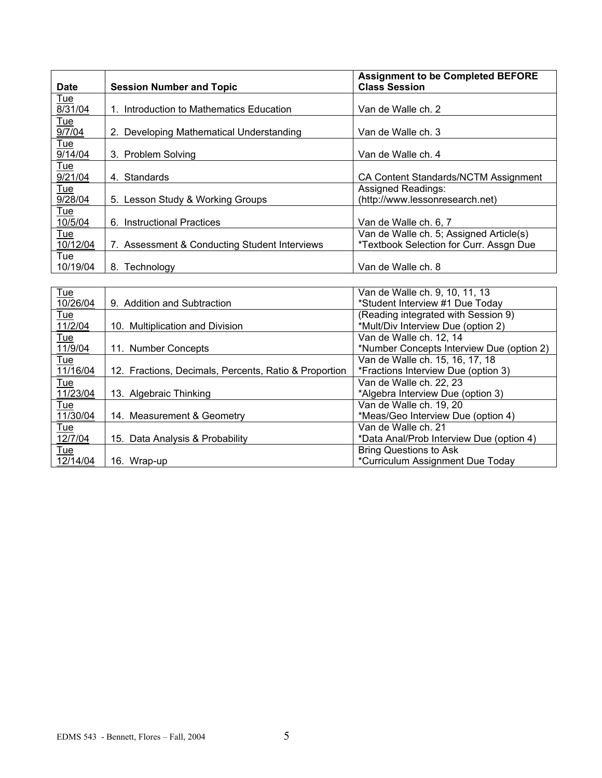|                |                                                       | <b>Assignment to be Completed BEFORE</b><br><b>Class Session</b> |
|----------------|-------------------------------------------------------|------------------------------------------------------------------|
| <b>Date</b>    | <b>Session Number and Topic</b>                       |                                                                  |
| Tue<br>8/31/04 | 1. Introduction to Mathematics Education              | Van de Walle ch. 2                                               |
| Tue            |                                                       |                                                                  |
| 9/7/04         | 2. Developing Mathematical Understanding              | Van de Walle ch. 3                                               |
| <u>Tue</u>     |                                                       |                                                                  |
| 9/14/04        | 3. Problem Solving                                    | Van de Walle ch. 4                                               |
| Tue<br>9/21/04 | 4. Standards                                          | CA Content Standards/NCTM Assignment                             |
| Tue            |                                                       | Assigned Readings:                                               |
| 9/28/04        | 5. Lesson Study & Working Groups                      | (http://www.lessonresearch.net)                                  |
| Tue            |                                                       |                                                                  |
| 10/5/04        | 6. Instructional Practices                            | Van de Walle ch. 6, 7                                            |
| <u>Tue</u>     |                                                       | Van de Walle ch. 5; Assigned Article(s)                          |
| 10/12/04       | 7. Assessment & Conducting Student Interviews         | *Textbook Selection for Curr. Assgn Due                          |
| Tue            |                                                       |                                                                  |
| 10/19/04       | 8. Technology                                         | Van de Walle ch. 8                                               |
|                |                                                       |                                                                  |
| Tue            |                                                       | Van de Walle ch. 9, 10, 11, 13                                   |
| 10/26/04       | 9. Addition and Subtraction                           | *Student Interview #1 Due Today                                  |
| Tue            |                                                       | (Reading integrated with Session 9)                              |
| 11/2/04        | 10. Multiplication and Division                       | *Mult/Div Interview Due (option 2)                               |
| Tue            |                                                       | Van de Walle ch. 12, 14                                          |
| 11/9/04        | 11. Number Concepts                                   | *Number Concepts Interview Due (option 2)                        |
| Tue            |                                                       | Van de Walle ch. 15, 16, 17, 18                                  |
| 11/16/04       | 12. Fractions, Decimals, Percents, Ratio & Proportion | *Fractions Interview Due (option 3)                              |
| Tue            |                                                       | Van de Walle ch. 22, 23                                          |
| 11/23/04       | 13. Algebraic Thinking                                | *Algebra Interview Due (option 3)                                |
| Tue            |                                                       | Van de Walle ch. 19, 20                                          |
| 11/30/04       | 14. Measurement & Geometry                            | *Meas/Geo Interview Due (option 4)                               |
| Tue            |                                                       | Van de Walle ch. 21                                              |
| 12/7/04        | 15. Data Analysis & Probability                       | *Data Anal/Prob Interview Due (option 4)                         |
| Tue            |                                                       | <b>Bring Questions to Ask</b>                                    |
| 12/14/04       | 16. Wrap-up                                           | *Curriculum Assignment Due Today                                 |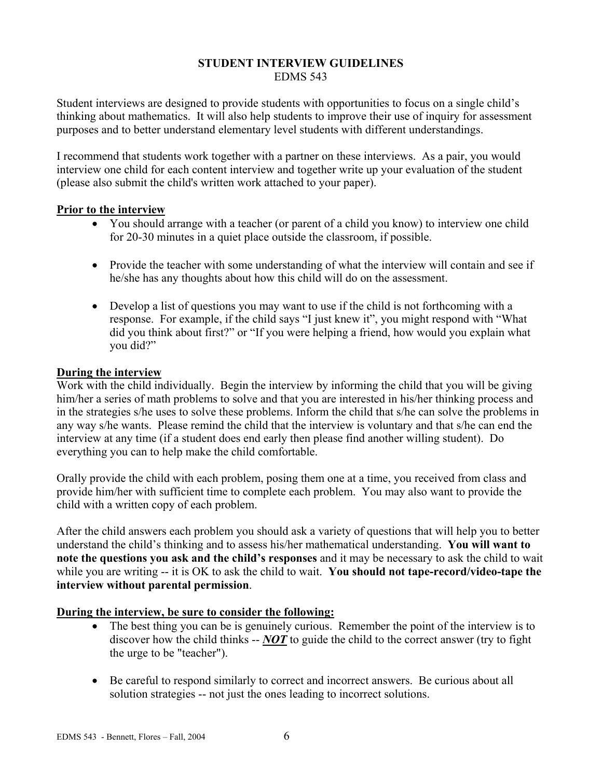#### **STUDENT INTERVIEW GUIDELINES**  EDMS 543

Student interviews are designed to provide students with opportunities to focus on a single child's thinking about mathematics. It will also help students to improve their use of inquiry for assessment purposes and to better understand elementary level students with different understandings.

I recommend that students work together with a partner on these interviews. As a pair, you would interview one child for each content interview and together write up your evaluation of the student (please also submit the child's written work attached to your paper).

### **Prior to the interview**

- You should arrange with a teacher (or parent of a child you know) to interview one child for 20-30 minutes in a quiet place outside the classroom, if possible.
- Provide the teacher with some understanding of what the interview will contain and see if he/she has any thoughts about how this child will do on the assessment.
- Develop a list of questions you may want to use if the child is not forthcoming with a response. For example, if the child says "I just knew it", you might respond with "What did you think about first?" or "If you were helping a friend, how would you explain what you did?"

### **During the interview**

Work with the child individually. Begin the interview by informing the child that you will be giving him/her a series of math problems to solve and that you are interested in his/her thinking process and in the strategies s/he uses to solve these problems. Inform the child that s/he can solve the problems in any way s/he wants. Please remind the child that the interview is voluntary and that s/he can end the interview at any time (if a student does end early then please find another willing student). Do everything you can to help make the child comfortable.

Orally provide the child with each problem, posing them one at a time, you received from class and provide him/her with sufficient time to complete each problem. You may also want to provide the child with a written copy of each problem.

After the child answers each problem you should ask a variety of questions that will help you to better understand the child's thinking and to assess his/her mathematical understanding. **You will want to note the questions you ask and the child's responses** and it may be necessary to ask the child to wait while you are writing -- it is OK to ask the child to wait. **You should not tape-record/video-tape the interview without parental permission**.

# **During the interview, be sure to consider the following:**

- The best thing you can be is genuinely curious. Remember the point of the interview is to discover how the child thinks -- *NOT* to guide the child to the correct answer (try to fight the urge to be "teacher").
- Be careful to respond similarly to correct and incorrect answers. Be curious about all solution strategies -- not just the ones leading to incorrect solutions.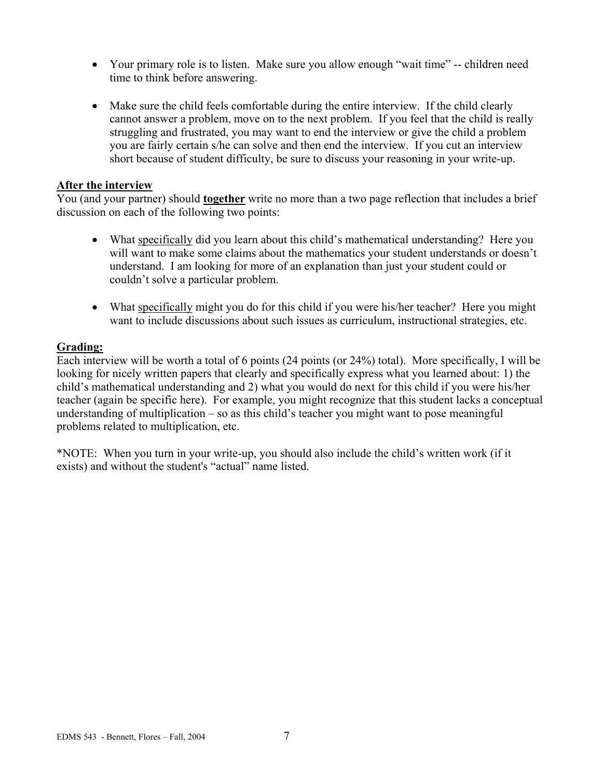- Your primary role is to listen. Make sure you allow enough "wait time" -- children need time to think before answering.
- Make sure the child feels comfortable during the entire interview. If the child clearly cannot answer a problem, move on to the next problem. If you feel that the child is really struggling and frustrated, you may want to end the interview or give the child a problem you are fairly certain s/he can solve and then end the interview. If you cut an interview short because of student difficulty, be sure to discuss your reasoning in your write-up.

#### **After the interview**

You (and your partner) should **together** write no more than a two page reflection that includes a brief discussion on each of the following two points:

- What specifically did you learn about this child's mathematical understanding? Here you will want to make some claims about the mathematics your student understands or doesn't understand. I am looking for more of an explanation than just your student could or couldn't solve a particular problem.
- What specifically might you do for this child if you were his/her teacher? Here you might want to include discussions about such issues as curriculum, instructional strategies, etc.

### **Grading:**

Each interview will be worth a total of 6 points (24 points (or 24%) total). More specifically, I will be looking for nicely written papers that clearly and specifically express what you learned about: 1) the child's mathematical understanding and 2) what you would do next for this child if you were his/her teacher (again be specific here). For example, you might recognize that this student lacks a conceptual understanding of multiplication – so as this child's teacher you might want to pose meaningful problems related to multiplication, etc.

\*NOTE: When you turn in your write-up, you should also include the child's written work (if it exists) and without the student's "actual" name listed.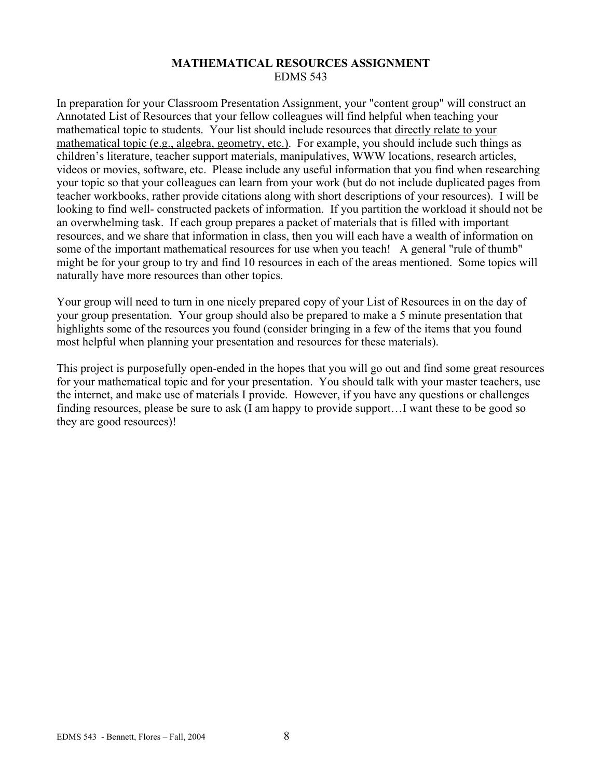### **MATHEMATICAL RESOURCES ASSIGNMENT**  EDMS 543

In preparation for your Classroom Presentation Assignment, your "content group" will construct an Annotated List of Resources that your fellow colleagues will find helpful when teaching your mathematical topic to students. Your list should include resources that directly relate to your mathematical topic (e.g., algebra, geometry, etc.). For example, you should include such things as children's literature, teacher support materials, manipulatives, WWW locations, research articles, videos or movies, software, etc. Please include any useful information that you find when researching your topic so that your colleagues can learn from your work (but do not include duplicated pages from teacher workbooks, rather provide citations along with short descriptions of your resources). I will be looking to find well- constructed packets of information. If you partition the workload it should not be an overwhelming task. If each group prepares a packet of materials that is filled with important resources, and we share that information in class, then you will each have a wealth of information on some of the important mathematical resources for use when you teach! A general "rule of thumb" might be for your group to try and find 10 resources in each of the areas mentioned. Some topics will naturally have more resources than other topics.

Your group will need to turn in one nicely prepared copy of your List of Resources in on the day of your group presentation. Your group should also be prepared to make a 5 minute presentation that highlights some of the resources you found (consider bringing in a few of the items that you found most helpful when planning your presentation and resources for these materials).

This project is purposefully open-ended in the hopes that you will go out and find some great resources for your mathematical topic and for your presentation. You should talk with your master teachers, use the internet, and make use of materials I provide. However, if you have any questions or challenges finding resources, please be sure to ask (I am happy to provide support…I want these to be good so they are good resources)!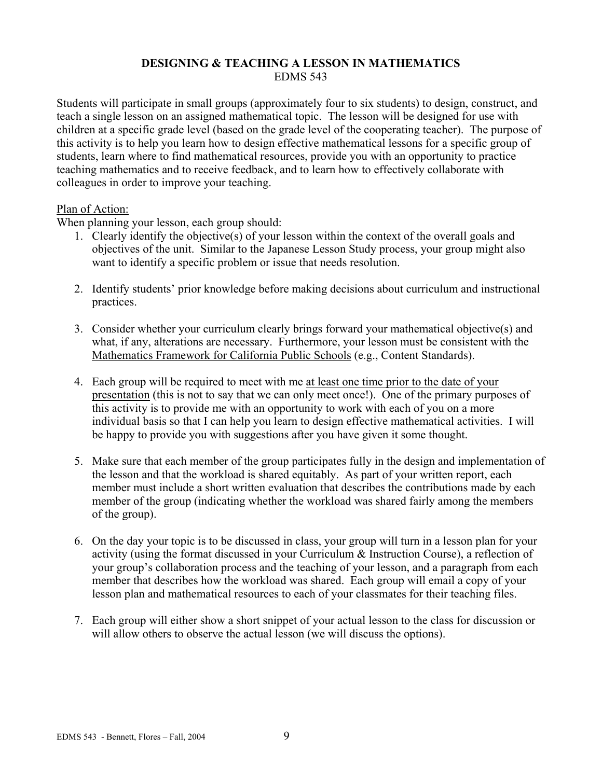### **DESIGNING & TEACHING A LESSON IN MATHEMATICS**  EDMS 543

Students will participate in small groups (approximately four to six students) to design, construct, and teach a single lesson on an assigned mathematical topic. The lesson will be designed for use with children at a specific grade level (based on the grade level of the cooperating teacher). The purpose of this activity is to help you learn how to design effective mathematical lessons for a specific group of students, learn where to find mathematical resources, provide you with an opportunity to practice teaching mathematics and to receive feedback, and to learn how to effectively collaborate with colleagues in order to improve your teaching.

### Plan of Action:

When planning your lesson, each group should:

- 1. Clearly identify the objective(s) of your lesson within the context of the overall goals and objectives of the unit. Similar to the Japanese Lesson Study process, your group might also want to identify a specific problem or issue that needs resolution.
- 2. Identify students' prior knowledge before making decisions about curriculum and instructional practices.
- 3. Consider whether your curriculum clearly brings forward your mathematical objective(s) and what, if any, alterations are necessary. Furthermore, your lesson must be consistent with the Mathematics Framework for California Public Schools (e.g., Content Standards).
- 4. Each group will be required to meet with me at least one time prior to the date of your presentation (this is not to say that we can only meet once!). One of the primary purposes of this activity is to provide me with an opportunity to work with each of you on a more individual basis so that I can help you learn to design effective mathematical activities. I will be happy to provide you with suggestions after you have given it some thought.
- 5. Make sure that each member of the group participates fully in the design and implementation of the lesson and that the workload is shared equitably. As part of your written report, each member must include a short written evaluation that describes the contributions made by each member of the group (indicating whether the workload was shared fairly among the members of the group).
- 6. On the day your topic is to be discussed in class, your group will turn in a lesson plan for your activity (using the format discussed in your Curriculum & Instruction Course), a reflection of your group's collaboration process and the teaching of your lesson, and a paragraph from each member that describes how the workload was shared. Each group will email a copy of your lesson plan and mathematical resources to each of your classmates for their teaching files.
- 7. Each group will either show a short snippet of your actual lesson to the class for discussion or will allow others to observe the actual lesson (we will discuss the options).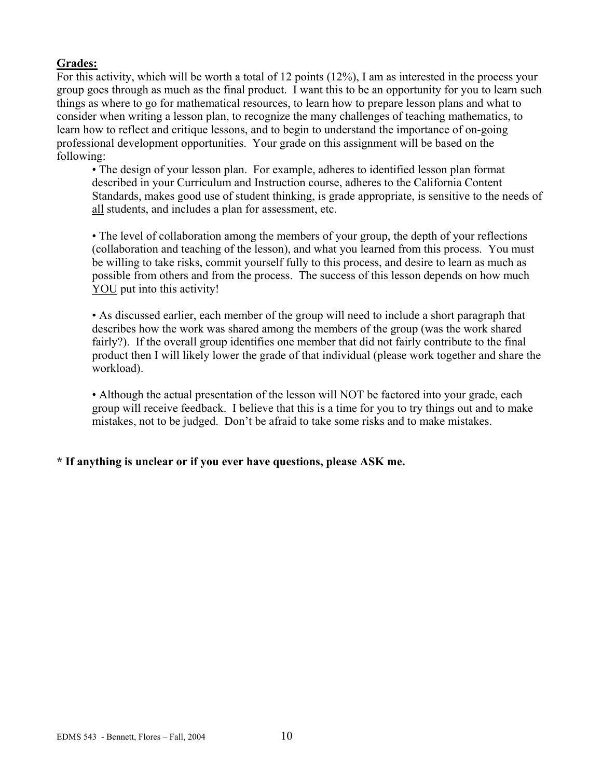# **Grades:**

For this activity, which will be worth a total of 12 points (12%), I am as interested in the process your group goes through as much as the final product. I want this to be an opportunity for you to learn such things as where to go for mathematical resources, to learn how to prepare lesson plans and what to consider when writing a lesson plan, to recognize the many challenges of teaching mathematics, to learn how to reflect and critique lessons, and to begin to understand the importance of on-going professional development opportunities. Your grade on this assignment will be based on the following:

• The design of your lesson plan. For example, adheres to identified lesson plan format described in your Curriculum and Instruction course, adheres to the California Content Standards, makes good use of student thinking, is grade appropriate, is sensitive to the needs of all students, and includes a plan for assessment, etc.

• The level of collaboration among the members of your group, the depth of your reflections (collaboration and teaching of the lesson), and what you learned from this process. You must be willing to take risks, commit yourself fully to this process, and desire to learn as much as possible from others and from the process. The success of this lesson depends on how much YOU put into this activity!

• As discussed earlier, each member of the group will need to include a short paragraph that describes how the work was shared among the members of the group (was the work shared fairly?). If the overall group identifies one member that did not fairly contribute to the final product then I will likely lower the grade of that individual (please work together and share the workload).

• Although the actual presentation of the lesson will NOT be factored into your grade, each group will receive feedback. I believe that this is a time for you to try things out and to make mistakes, not to be judged. Don't be afraid to take some risks and to make mistakes.

# **\* If anything is unclear or if you ever have questions, please ASK me.**